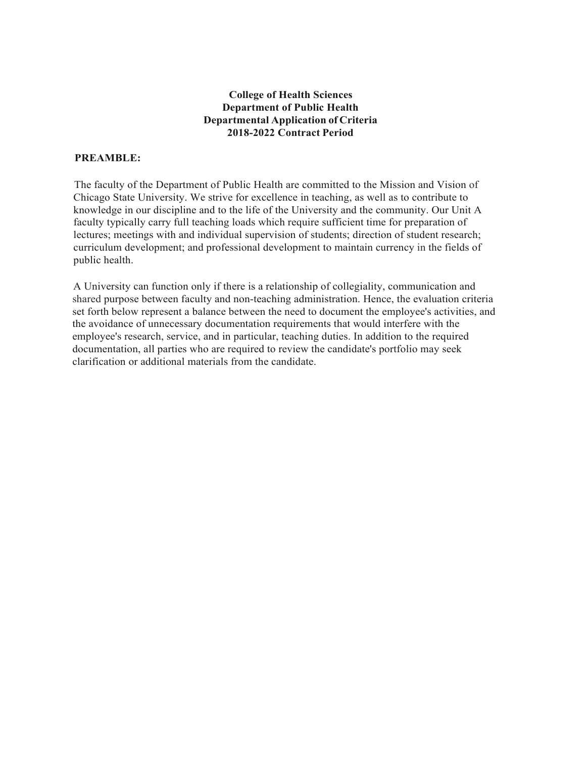# **College of Health Sciences Department of Public Health Departmental Application of Criteria 2018-2022 Contract Period**

## **PREAMBLE:**

The faculty of the Department of Public Health are committed to the Mission and Vision of Chicago State University. We strive for excellence in teaching, as well as to contribute to knowledge in our discipline and to the life of the University and the community. Our Unit A faculty typically carry full teaching loads which require sufficient time for preparation of lectures; meetings with and individual supervision of students; direction of student research; curriculum development; and professional development to maintain currency in the fields of public health.

A University can function only if there is a relationship of collegiality, communication and shared purpose between faculty and non-teaching administration. Hence, the evaluation criteria set forth below represent a balance between the need to document the employee's activities, and the avoidance of unnecessary documentation requirements that would interfere with the employee's research, service, and in particular, teaching duties. In addition to the required documentation, all parties who are required to review the candidate's portfolio may seek clarification or additional materials from the candidate.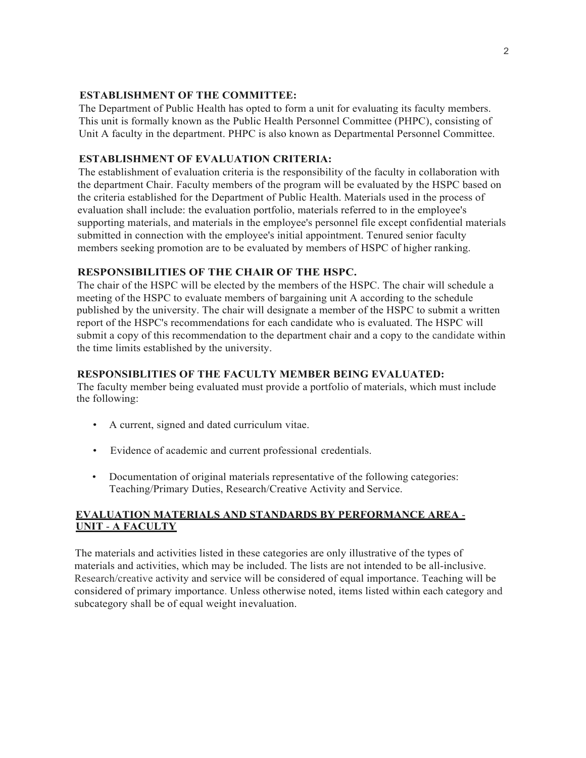### **ESTABLISHMENT OF THE COMMITTEE:**

The Department of Public Health has opted to form a unit for evaluating its faculty members. This unit is formally known as the Public Health Personnel Committee (PHPC), consisting of Unit A faculty in the department. PHPC is also known as Departmental Personnel Committee.

### **ESTABLISHMENT OF EVALUATION CRITERIA:**

The establishment of evaluation criteria is the responsibility of the faculty in collaboration with the department Chair. Faculty members of the program will be evaluated by the HSPC based on the criteria established for the Department of Public Health. Materials used in the process of evaluation shall include: the evaluation portfolio, materials referred to in the employee's supporting materials, and materials in the employee's personnel file except confidential materials submitted in connection with the employee's initial appointment. Tenured senior faculty members seeking promotion are to be evaluated by members of HSPC of higher ranking.

## **RESPONSIBILITIES OF THE CHAIR OF THE HSPC.**

The chair of the HSPC will be elected by the members of the HSPC. The chair will schedule a meeting of the HSPC to evaluate members of bargaining unit A according to the schedule published by the university. The chair will designate a member of the HSPC to submit a written report of the HSPC's recommendations for each candidate who is evaluated. The HSPC will submit a copy of this recommendation to the department chair and a copy to the candidate within the time limits established by the university.

## **RESPONSIBLITIES OF THE FACULTY MEMBER BEING EVALUATED:**

The faculty member being evaluated must provide a portfolio of materials, which must include the following:

- A current, signed and dated curriculum vitae.
- Evidence of academic and current professional credentials.
- Documentation of original materials representative of the following categories: Teaching/Primary Duties, Research/Creative Activity and Service.

## **EVALUATION MATERIALS AND STANDARDS BY PERFORMANCE AREA** - **UNIT** - **A FACULTY**

The materials and activities listed in these categories are only illustrative of the types of materials and activities, which may be included. The lists are not intended to be all-inclusive. Research/creative activity and service will be considered of equal importance. Teaching will be considered of primary importance. Unless otherwise noted, items listed within each category and subcategory shall be of equal weight in evaluation.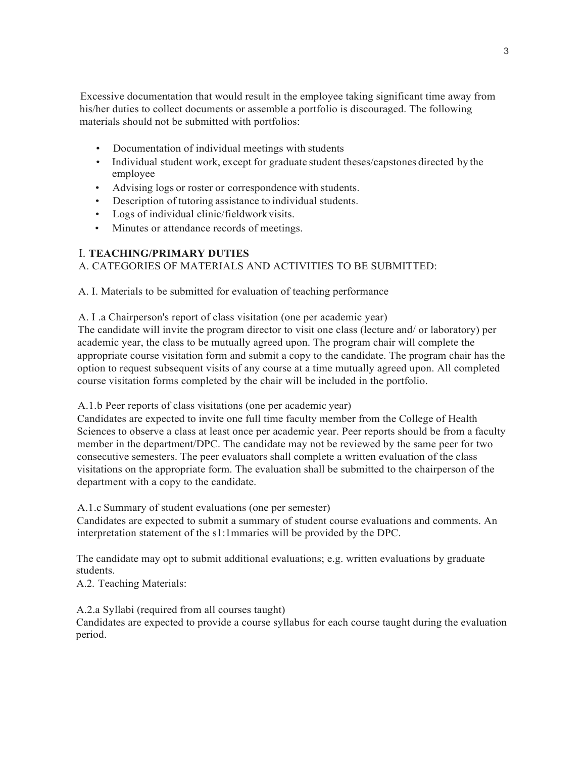Excessive documentation that would result in the employee taking significant time away from his/her duties to collect documents or assemble a portfolio is discouraged. The following materials should not be submitted with portfolios:

- Documentation of individual meetings with students
- Individual student work, except for graduate student theses/capstones directed by the employee
- Advising logs or roster or correspondence with students.
- Description of tutoring assistance to individual students.
- Logs of individual clinic/fieldwork visits.
- Minutes or attendance records of meetings.

## I. **TEACHING/PRIMARY DUTIES**

## A. CATEGORIES OF MATERIALS AND ACTIVITIES TO BE SUBMITTED:

A. I. Materials to be submitted for evaluation of teaching performance

#### A. I .a Chairperson's report of class visitation (one per academic year)

The candidate will invite the program director to visit one class (lecture and/ or laboratory) per academic year, the class to be mutually agreed upon. The program chair will complete the appropriate course visitation form and submit a copy to the candidate. The program chair has the option to request subsequent visits of any course at a time mutually agreed upon. All completed course visitation forms completed by the chair will be included in the portfolio.

A.1.b Peer reports of class visitations (one per academic year)

Candidates are expected to invite one full time faculty member from the College of Health Sciences to observe a class at least once per academic year. Peer reports should be from a faculty member in the department/DPC. The candidate may not be reviewed by the same peer for two consecutive semesters. The peer evaluators shall complete a written evaluation of the class visitations on the appropriate form. The evaluation shall be submitted to the chairperson of the department with a copy to the candidate.

A.1.c Summary of student evaluations (one per semester)

Candidates are expected to submit a summary of student course evaluations and comments. An interpretation statement of the s1:1mmaries will be provided by the DPC.

The candidate may opt to submit additional evaluations; e.g. written evaluations by graduate students.

A.2. Teaching Materials:

A.2.a Syllabi (required from all courses taught)

Candidates are expected to provide a course syllabus for each course taught during the evaluation period.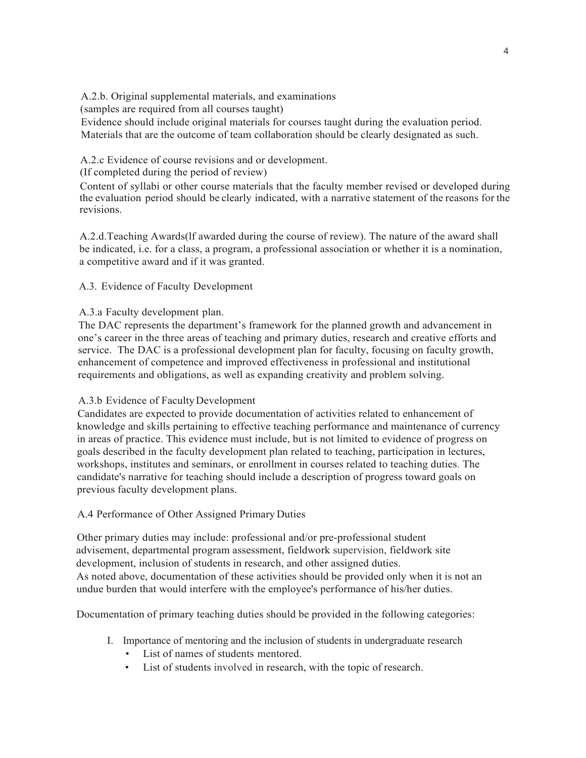A.2.b. Original supplemental materials, and examinations

(samples are required from all courses taught)

Evidence should include original materials for courses taught during the evaluation period. Materials that are the outcome of team collaboration should be clearly designated as such.

A.2.c Evidence of course revisions and or development.

(If completed during the period of review)

Content of syllabi or other course materials that the faculty member revised or developed during the evaluation period should be clearly indicated, with a narrative statement of the reasons for the revisions.

A.2.d.Teaching Awards(lf awarded during the course of review). The nature of the award shall be indicated, i.e. for a class, a program, a professional association or whether it is a nomination, a competitive award and if it was granted.

A.3. Evidence of Faculty Development

## A.3.a Faculty development plan.

The DAC represents the department's framework for the planned growth and advancement in one's career in the three areas of teaching and primary duties, research and creative efforts and service. The DAC is a professional development plan for faculty, focusing on faculty growth, enhancement of competence and improved effectiveness in professional and institutional requirements and obligations, as well as expanding creativity and problem solving.

# A.3.b Evidence of Faculty Development

Candidates are expected to provide documentation of activities related to enhancement of knowledge and skills pertaining to effective teaching performance and maintenance of currency in areas of practice. This evidence must include, but is not limited to evidence of progress on goals described in the faculty development plan related to teaching, participation in lectures, workshops, institutes and seminars, or enrollment in courses related to teaching duties. The candidate's narrative for teaching should include a description of progress toward goals on previous faculty development plans.

# A.4 Performance of Other Assigned Primary Duties

Other primary duties may include: professional and/or pre-professional student advisement, departmental program assessment, fieldwork supervision, fieldwork site development, inclusion of students in research, and other assigned duties. As noted above, documentation of these activities should be provided only when it is not an undue burden that would interfere with the employee's performance of his/her duties.

Documentation of primary teaching duties should be provided in the following categories:

- I. Importance of mentoring and the inclusion of students in undergraduate research
	- List of names of students mentored.
	- List of students involved in research, with the topic of research.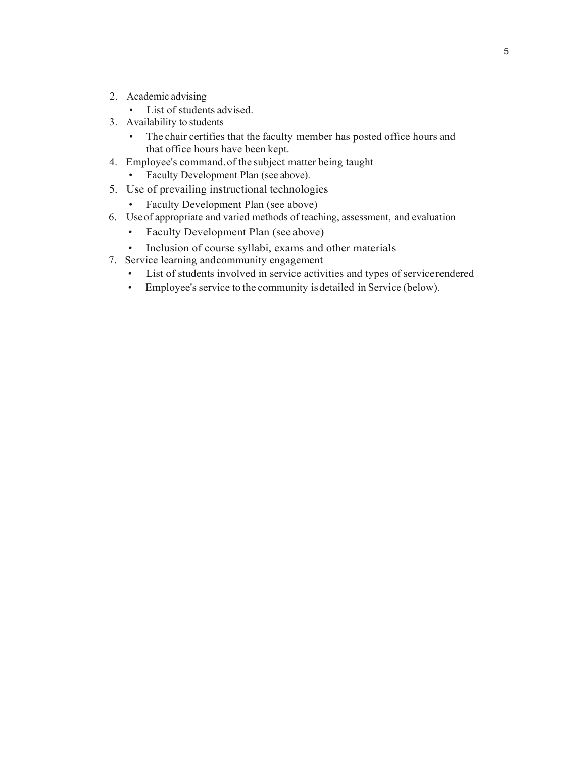- 2. Academic advising
	- List of students advised.
- 3. Availability to students
	- The chair certifies that the faculty member has posted office hours and that office hours have been kept.
- 4. Employee's command. of the subject matter being taught
	- Faculty Development Plan (see above).
- 5. Use of prevailing instructional technologies
	- Faculty Development Plan (see above)
- 6. Use of appropriate and varied methods of teaching, assessment, and evaluation
	- Faculty Development Plan (see above)
	- Inclusion of course syllabi, exams and other materials
- 7. Service learning and community engagement
	- List of students involved in service activities and types of service rendered
	- Employee's service to the community is detailed in Service (below).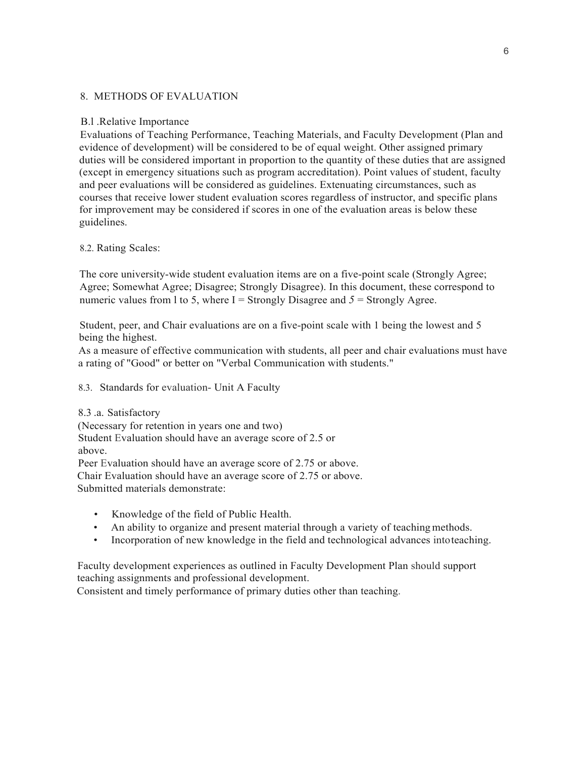#### 8. METHODS OF EVALUATION

#### B.l .Relative Importance

Evaluations of Teaching Performance, Teaching Materials, and Faculty Development (Plan and evidence of development) will be considered to be of equal weight. Other assigned primary duties will be considered important in proportion to the quantity of these duties that are assigned (except in emergency situations such as program accreditation). Point values of student, faculty and peer evaluations will be considered as guidelines. Extenuating circumstances, such as courses that receive lower student evaluation scores regardless of instructor, and specific plans for improvement may be considered if scores in one of the evaluation areas is below these guidelines.

#### 8.2. Rating Scales:

The core university-wide student evaluation items are on a five-point scale (Strongly Agree; Agree; Somewhat Agree; Disagree; Strongly Disagree). In this document, these correspond to numeric values from 1 to 5, where  $I =$  Strongly Disagree and  $5 =$  Strongly Agree.

Student, peer, and Chair evaluations are on a five-point scale with 1 being the lowest and 5 being the highest.

As a measure of effective communication with students, all peer and chair evaluations must have a rating of "Good" or better on "Verbal Communication with students."

8.3. Standards for evaluation- Unit A Faculty

8.3 .a. Satisfactory (Necessary for retention in years one and two) Student Evaluation should have an average score of 2.5 or above. Peer Evaluation should have an average score of 2.75 or above. Chair Evaluation should have an average score of 2.75 or above.

Submitted materials demonstrate:

- Knowledge of the field of Public Health.
- An ability to organize and present material through a variety of teaching methods.
- Incorporation of new knowledge in the field and technological advances into teaching.

Faculty development experiences as outlined in Faculty Development Plan should support teaching assignments and professional development.

Consistent and timely performance of primary duties other than teaching.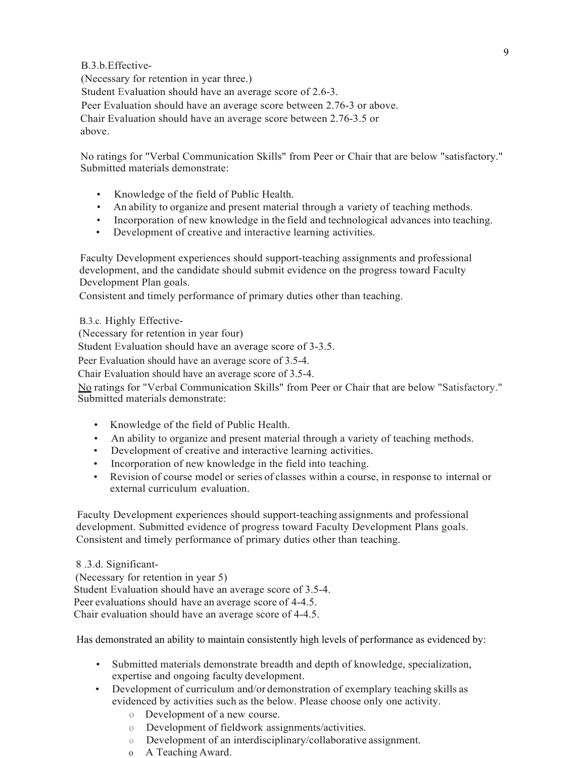## B.3.b.Effective-

(Necessary for retention in year three.) Student Evaluation should have an average score of 2.6-3. Peer Evaluation should have an average score between 2.76-3 or above. Chair Evaluation should have an average score between 2.76-3.5 or above.

No ratings for "Verbal Communication Skills" from Peer or Chair that are below "satisfactory." Submitted materials demonstrate:

- Knowledge of the field of Public Health.
- An ability to organize and present material through a variety of teaching methods.
- Incorporation of new knowledge in the field and technological advances into teaching.
- Development of creative and interactive learning activities.

Faculty Development experiences should support-teaching assignments and professional development, and the candidate should submit evidence on the progress toward Faculty Development Plan goals.

Consistent and timely performance of primary duties other than teaching.

B.3.c. Highly Effective-

(Necessary for retention in year four)

Student Evaluation should have an average score of 3-3.5.

Peer Evaluation should have an average score of 3.5-4.

Chair Evaluation should have an average score of 3.5-4.

No ratings for "Verbal Communication Skills" from Peer or Chair that are below "Satisfactory." Submitted materials demonstrate:

- Knowledge of the field of Public Health.
- An ability to organize and present material through a variety of teaching methods.
- Development of creative and interactive learning activities.
- Incorporation of new knowledge in the field into teaching.
- Revision of course model or series of classes within a course, in response to internal or external curriculum evaluation.

Faculty Development experiences should support-teaching assignments and professional development. Submitted evidence of progress toward Faculty Development Plans goals. Consistent and timely performance of primary duties other than teaching.

8 .3.d. Significant- (Necessary for retention in year 5) Student Evaluation should have an average score of 3.5-4. Peer evaluations should have an average score of 4-4.5. Chair evaluation should have an average score of 4-4.5.

Has demonstrated an ability to maintain consistently high levels of performance as evidenced by:

- Submitted materials demonstrate breadth and depth of knowledge, specialization, expertise and ongoing faculty development.
- Development of curriculum and/or demonstration of exemplary teaching skills as evidenced by activities such as the below. Please choose only one activity.
	- o Development of a new course.
	- o Development of fieldwork assignments/activities.
	- o Development of an interdisciplinary/collaborative assignment.
	- o A Teaching Award.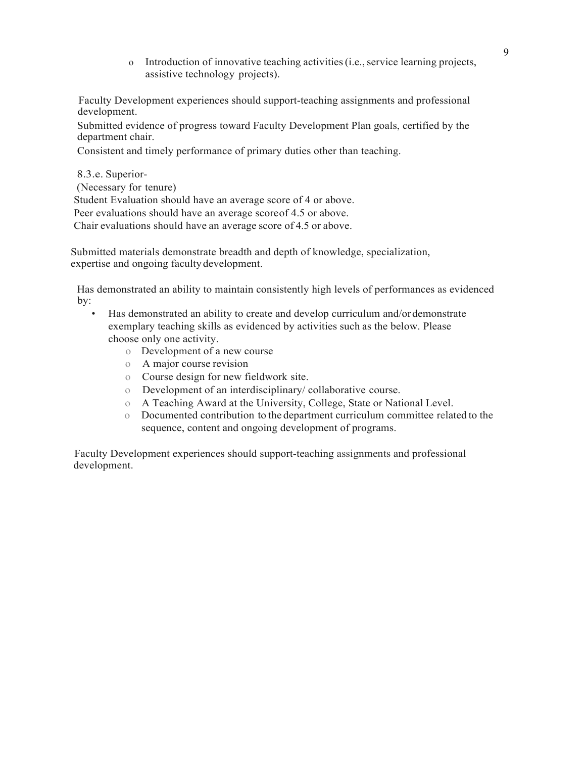o Introduction of innovative teaching activities (i.e., service learning projects, assistive technology projects).

Faculty Development experiences should support-teaching assignments and professional development.

Submitted evidence of progress toward Faculty Development Plan goals, certified by the department chair.

Consistent and timely performance of primary duties other than teaching.

8.3.e. Superior- (Necessary for tenure) Student Evaluation should have an average score of 4 or above. Peer evaluations should have an average score of 4.5 or above. Chair evaluations should have an average score of 4.5 or above.

Submitted materials demonstrate breadth and depth of knowledge, specialization, expertise and ongoing faculty development.

Has demonstrated an ability to maintain consistently high levels of performances as evidenced by:

- Has demonstrated an ability to create and develop curriculum and/or demonstrate exemplary teaching skills as evidenced by activities such as the below. Please choose only one activity.
	- o Development of a new course
	- o A major course revision
	- o Course design for new fieldwork site.
	- o Development of an interdisciplinary/ collaborative course.
	- o A Teaching Award at the University, College, State or National Level.
	- o Documented contribution to the department curriculum committee related to the sequence, content and ongoing development of programs.

Faculty Development experiences should support-teaching assignments and professional development.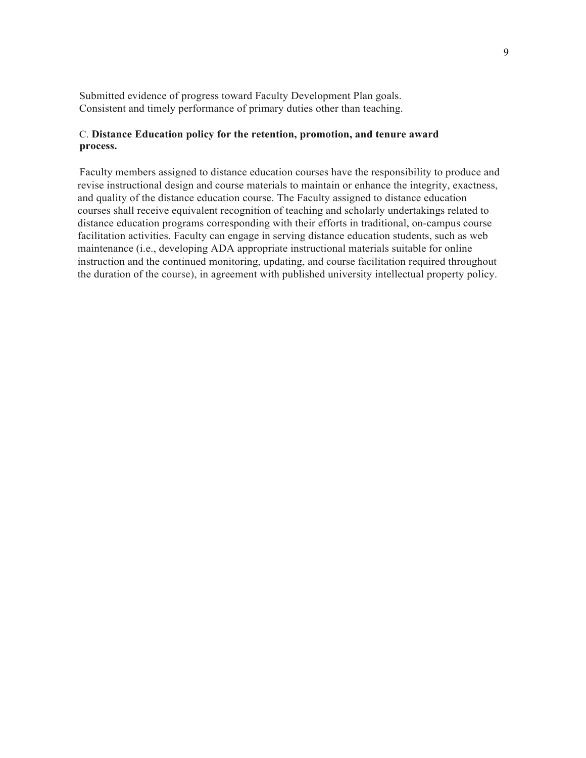Submitted evidence of progress toward Faculty Development Plan goals. Consistent and timely performance of primary duties other than teaching.

#### C. **Distance Education policy for the retention, promotion, and tenure award process.**

Faculty members assigned to distance education courses have the responsibility to produce and revise instructional design and course materials to maintain or enhance the integrity, exactness, and quality of the distance education course. The Faculty assigned to distance education courses shall receive equivalent recognition of teaching and scholarly undertakings related to distance education programs corresponding with their efforts in traditional, on-campus course facilitation activities. Faculty can engage in serving distance education students, such as web maintenance (i.e., developing ADA appropriate instructional materials suitable for online instruction and the continued monitoring, updating, and course facilitation required throughout the duration of the course), in agreement with published university intellectual property policy.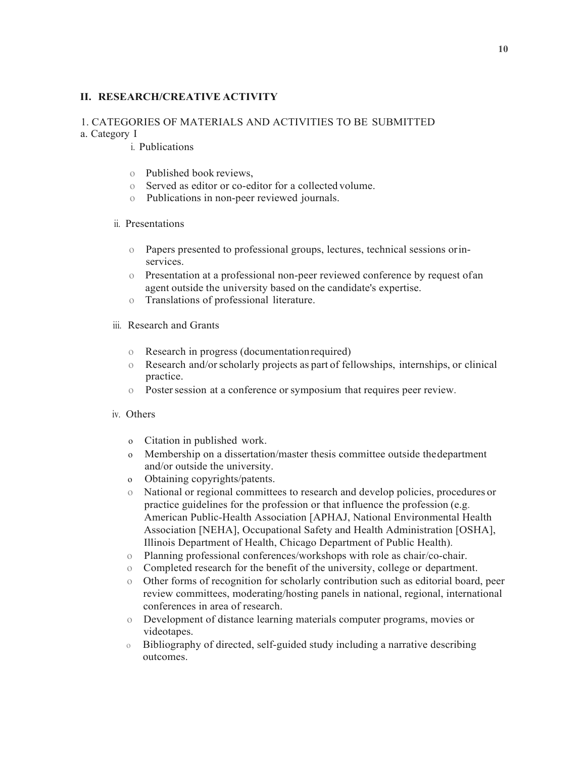### **II. RESEARCH/CREATIVE ACTIVITY**

### 1. CATEGORIES OF MATERIALS AND ACTIVITIES TO BE SUBMITTED

a. Category I

i. Publications

- o Published book reviews,
- o Served as editor or co-editor for a collected volume.
- o Publications in non-peer reviewed journals.

### ii. Presentations

- o Papers presented to professional groups, lectures, technical sessions or inservices.
- o Presentation at a professional non-peer reviewed conference by request of an agent outside the university based on the candidate's expertise.
- o Translations of professional literature.
- iii. Research and Grants
	- o Research in progress (documentation required)
	- o Research and/or scholarly projects as part of fellowships, internships, or clinical practice.
	- o Poster session at a conference or symposium that requires peer review.

#### iv. Others

- o Citation in published work.
- o Membership on a dissertation/master thesis committee outside the department and/or outside the university.
- o Obtaining copyrights/patents.
- o National or regional committees to research and develop policies, procedures or practice guidelines for the profession or that influence the profession (e.g. American Public-Health Association [APHAJ, National Environmental Health Association [NEHA], Occupational Safety and Health Administration [OSHA], Illinois Department of Health, Chicago Department of Public Health).
- o Planning professional conferences/workshops with role as chair/co-chair.
- o Completed research for the benefit of the university, college or department.
- o Other forms of recognition for scholarly contribution such as editorial board, peer review committees, moderating/hosting panels in national, regional, international conferences in area of research.
- o Development of distance learning materials computer programs, movies or videotapes.
- o Bibliography of directed, self-guided study including a narrative describing outcomes.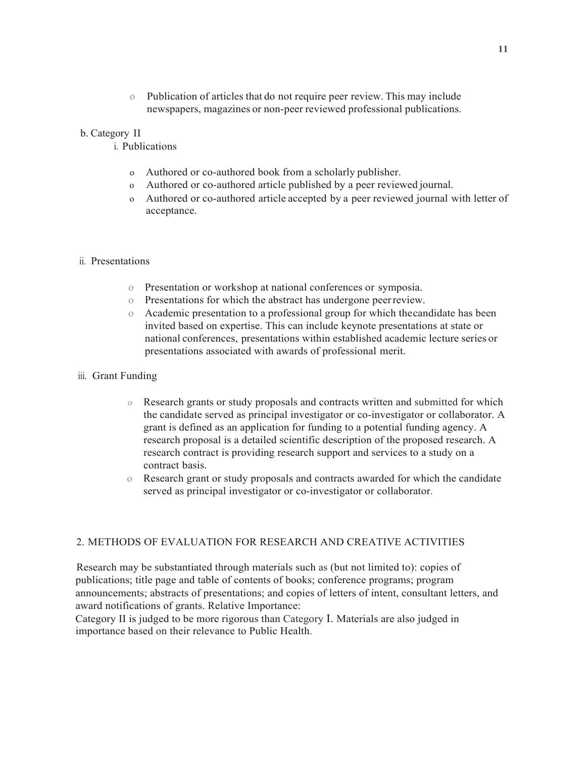o Publication of articles that do not require peer review. This may include newspapers, magazines or non-peer reviewed professional publications.

#### b. Category II

i. Publications

- o Authored or co-authored book from a scholarly publisher.
- o Authored or co-authored article published by a peer reviewed journal.
- o Authored or co-authored article accepted by a peer reviewed journal with letter of acceptance.

#### ii. Presentations

- o Presentation or workshop at national conferences or symposia.
- o Presentations for which the abstract has undergone peer review.
- o Academic presentation to a professional group for which the candidate has been invited based on expertise. This can include keynote presentations at state or national conferences, presentations within established academic lecture series or presentations associated with awards of professional merit.

#### iii. Grant Funding

- o Research grants or study proposals and contracts written and submitted for which the candidate served as principal investigator or co-investigator or collaborator. A grant is defined as an application for funding to a potential funding agency. A research proposal is a detailed scientific description of the proposed research. A research contract is providing research support and services to a study on a contract basis.
- o Research grant or study proposals and contracts awarded for which the candidate served as principal investigator or co-investigator or collaborator.

### 2. METHODS OF EVALUATION FOR RESEARCH AND CREATIVE ACTIVITIES

Research may be substantiated through materials such as (but not limited to): copies of publications; title page and table of contents of books; conference programs; program announcements; abstracts of presentations; and copies of letters of intent, consultant letters, and award notifications of grants. Relative Importance:

Category II is judged to be more rigorous than Category I. Materials are also judged in importance based on their relevance to Public Health.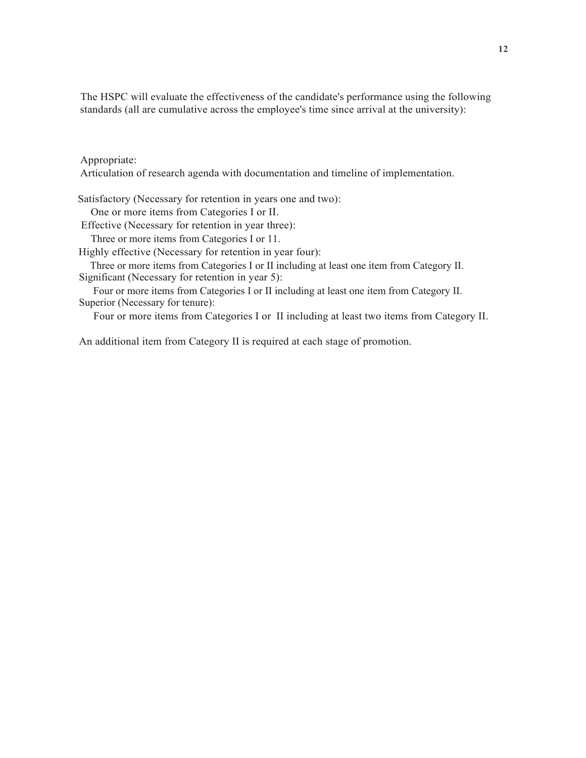The HSPC will evaluate the effectiveness of the candidate's performance using the following standards (all are cumulative across the employee's time since arrival at the university):

Appropriate:

Articulation of research agenda with documentation and timeline of implementation.

Satisfactory (Necessary for retention in years one and two): One or more items from Categories I or II. Effective (Necessary for retention in year three): Three or more items from Categories I or 11. Highly effective (Necessary for retention in year four): Three or more items from Categories I or II including at least one item from Category II. Significant (Necessary for retention in year 5): Four or more items from Categories I or II including at least one item from Category II.

Superior (Necessary for tenure):

Four or more items from Categories I or II including at least two items from Category II.

An additional item from Category II is required at each stage of promotion.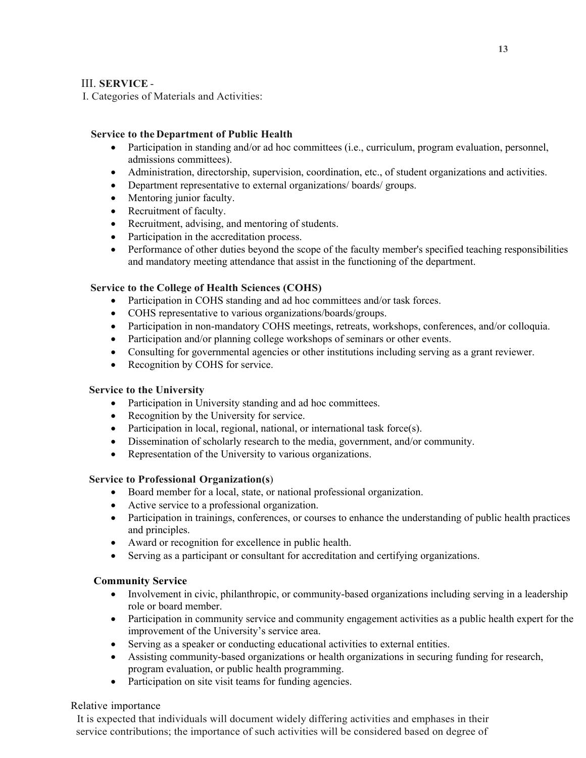## III. **SERVICE** -

I. Categories of Materials and Activities:

## **Service to the Department of Public Health**

- Participation in standing and/or ad hoc committees (i.e., curriculum, program evaluation, personnel, admissions committees).
- Administration, directorship, supervision, coordination, etc., of student organizations and activities.
- Department representative to external organizations/ boards/ groups.
- Mentoring junior faculty.
- Recruitment of faculty.
- Recruitment, advising, and mentoring of students.
- Participation in the accreditation process.
- Performance of other duties beyond the scope of the faculty member's specified teaching responsibilities and mandatory meeting attendance that assist in the functioning of the department.

## **Service to the College of Health Sciences (COHS)**

- Participation in COHS standing and ad hoc committees and/or task forces.
- COHS representative to various organizations/boards/groups.
- Participation in non-mandatory COHS meetings, retreats, workshops, conferences, and/or colloquia.
- Participation and/or planning college workshops of seminars or other events.
- Consulting for governmental agencies or other institutions including serving as a grant reviewer.
- Recognition by COHS for service.

### **Service to the University**

- Participation in University standing and ad hoc committees.
- Recognition by the University for service.
- Participation in local, regional, national, or international task force(s).
- Dissemination of scholarly research to the media, government, and/or community.
- Representation of the University to various organizations.

### **Service to Professional Organization(s**)

- Board member for a local, state, or national professional organization.
- Active service to a professional organization.
- Participation in trainings, conferences, or courses to enhance the understanding of public health practices and principles.
- Award or recognition for excellence in public health.
- Serving as a participant or consultant for accreditation and certifying organizations.

# **Community Service**

- Involvement in civic, philanthropic, or community-based organizations including serving in a leadership role or board member.
- Participation in community service and community engagement activities as a public health expert for the improvement of the University's service area.
- Serving as a speaker or conducting educational activities to external entities.
- Assisting community-based organizations or health organizations in securing funding for research, program evaluation, or public health programming.
- Participation on site visit teams for funding agencies.

# Relative importance

It is expected that individuals will document widely differing activities and emphases in their service contributions; the importance of such activities will be considered based on degree of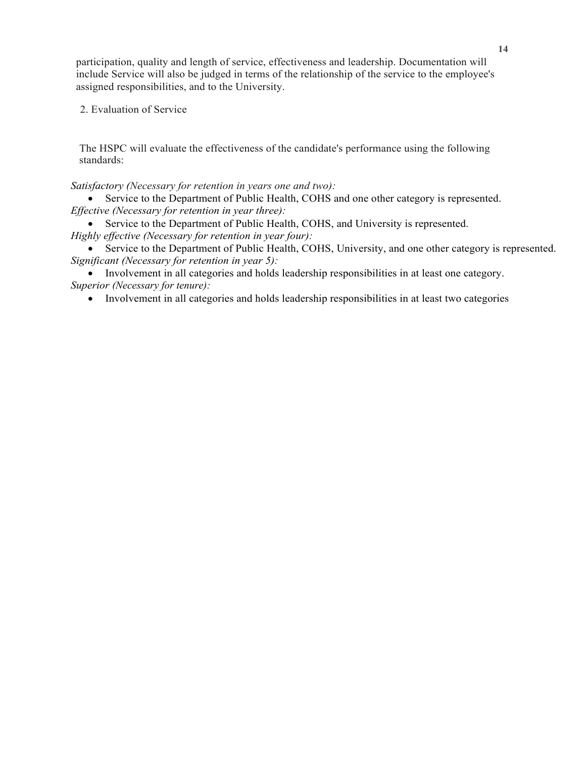participation, quality and length of service, effectiveness and leadership. Documentation will include Service will also be judged in terms of the relationship of the service to the employee's assigned responsibilities, and to the University.

### 2. Evaluation of Service

The HSPC will evaluate the effectiveness of the candidate's performance using the following standards:

### *Satisfactory (Necessary for retention in years one and two):*

 Service to the Department of Public Health, COHS and one other category is represented. *Effective (Necessary for retention in year three):*

 Service to the Department of Public Health, COHS, and University is represented. *Highly effective (Necessary for retention in year four):*

 Service to the Department of Public Health, COHS, University, and one other category is represented. *Significant (Necessary for retention in year 5):*

 Involvement in all categories and holds leadership responsibilities in at least one category. *Superior (Necessary for tenure):*

Involvement in all categories and holds leadership responsibilities in at least two categories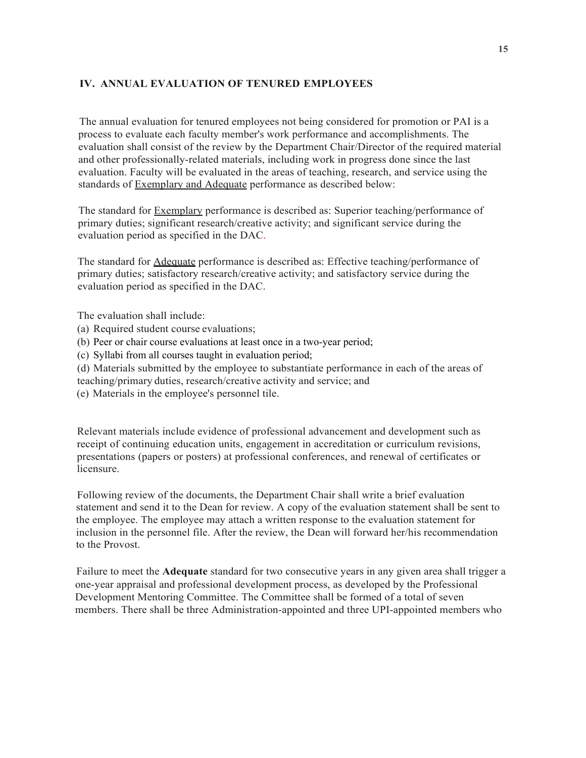## **IV. ANNUAL EVALUATION OF TENURED EMPLOYEES**

The annual evaluation for tenured employees not being considered for promotion or PAI is a process to evaluate each faculty member's work performance and accomplishments. The evaluation shall consist of the review by the Department Chair/Director of the required material and other professionally-related materials, including work in progress done since the last evaluation. Faculty will be evaluated in the areas of teaching, research, and service using the standards of Exemplary and Adequate performance as described below:

The standard for **Exemplary** performance is described as: Superior teaching/performance of primary duties; significant research/creative activity; and significant service during the evaluation period as specified in the DAC.

The standard for Adequate performance is described as: Effective teaching/performance of primary duties; satisfactory research/creative activity; and satisfactory service during the evaluation period as specified in the DAC.

The evaluation shall include:

- (a) Required student course evaluations;
- (b) Peer or chair course evaluations at least once in a two-year period;
- (c) Syllabi from all courses taught in evaluation period;

(d) Materials submitted by the employee to substantiate performance in each of the areas of teaching/primary duties, research/creative activity and service; and

(e) Materials in the employee's personnel tile.

Relevant materials include evidence of professional advancement and development such as receipt of continuing education units, engagement in accreditation or curriculum revisions, presentations (papers or posters) at professional conferences, and renewal of certificates or licensure.

Following review of the documents, the Department Chair shall write a brief evaluation statement and send it to the Dean for review. A copy of the evaluation statement shall be sent to the employee. The employee may attach a written response to the evaluation statement for inclusion in the personnel file. After the review, the Dean will forward her/his recommendation to the Provost.

Failure to meet the **Adequate** standard for two consecutive years in any given area shall trigger a one-year appraisal and professional development process, as developed by the Professional Development Mentoring Committee. The Committee shall be formed of a total of seven members. There shall be three Administration-appointed and three UPI-appointed members who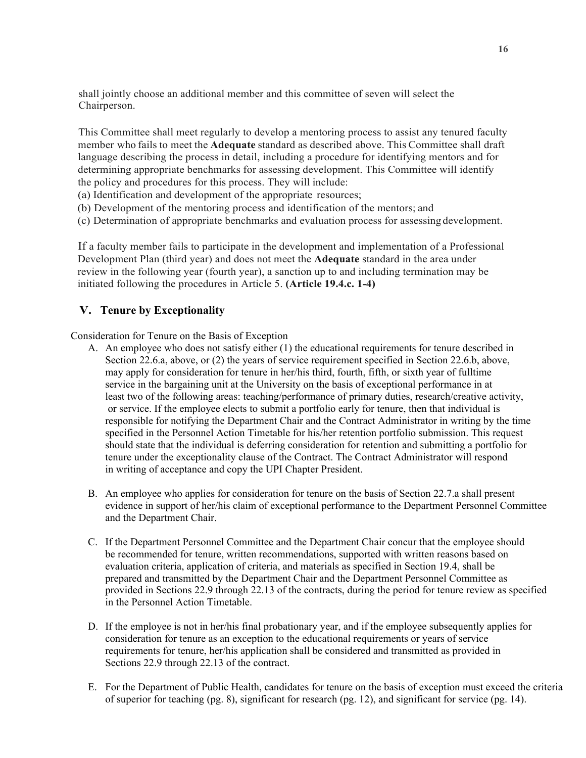shall jointly choose an additional member and this committee of seven will select the Chairperson.

This Committee shall meet regularly to develop a mentoring process to assist any tenured faculty member who fails to meet the **Adequate** standard as described above. This Committee shall draft language describing the process in detail, including a procedure for identifying mentors and for determining appropriate benchmarks for assessing development. This Committee will identify the policy and procedures for this process. They will include:

(a) Identification and development of the appropriate resources;

- (b) Development of the mentoring process and identification of the mentors; and
- (c) Determination of appropriate benchmarks and evaluation process for assessing development.

If a faculty member fails to participate in the development and implementation of a Professional Development Plan (third year) and does not meet the **Adequate** standard in the area under review in the following year (fourth year), a sanction up to and including termination may be initiated following the procedures in Article 5. **(Article 19.4.c. 1-4)**

# **V. Tenure by Exceptionality**

Consideration for Tenure on the Basis of Exception

- A. An employee who does not satisfy either (1) the educational requirements for tenure described in Section 22.6.a, above, or (2) the years of service requirement specified in Section 22.6.b, above, may apply for consideration for tenure in her/his third, fourth, fifth, or sixth year of fulltime service in the bargaining unit at the University on the basis of exceptional performance in at least two of the following areas: teaching/performance of primary duties, research/creative activity, or service. If the employee elects to submit a portfolio early for tenure, then that individual is responsible for notifying the Department Chair and the Contract Administrator in writing by the time specified in the Personnel Action Timetable for his/her retention portfolio submission. This request should state that the individual is deferring consideration for retention and submitting a portfolio for tenure under the exceptionality clause of the Contract. The Contract Administrator will respond in writing of acceptance and copy the UPI Chapter President.
- B. An employee who applies for consideration for tenure on the basis of Section 22.7.a shall present evidence in support of her/his claim of exceptional performance to the Department Personnel Committee and the Department Chair.
- C. If the Department Personnel Committee and the Department Chair concur that the employee should be recommended for tenure, written recommendations, supported with written reasons based on evaluation criteria, application of criteria, and materials as specified in Section 19.4, shall be prepared and transmitted by the Department Chair and the Department Personnel Committee as provided in Sections 22.9 through 22.13 of the contracts, during the period for tenure review as specified in the Personnel Action Timetable.
- D. If the employee is not in her/his final probationary year, and if the employee subsequently applies for consideration for tenure as an exception to the educational requirements or years of service requirements for tenure, her/his application shall be considered and transmitted as provided in Sections 22.9 through 22.13 of the contract.
- E. For the Department of Public Health, candidates for tenure on the basis of exception must exceed the criteria of superior for teaching (pg. 8), significant for research (pg. 12), and significant for service (pg. 14).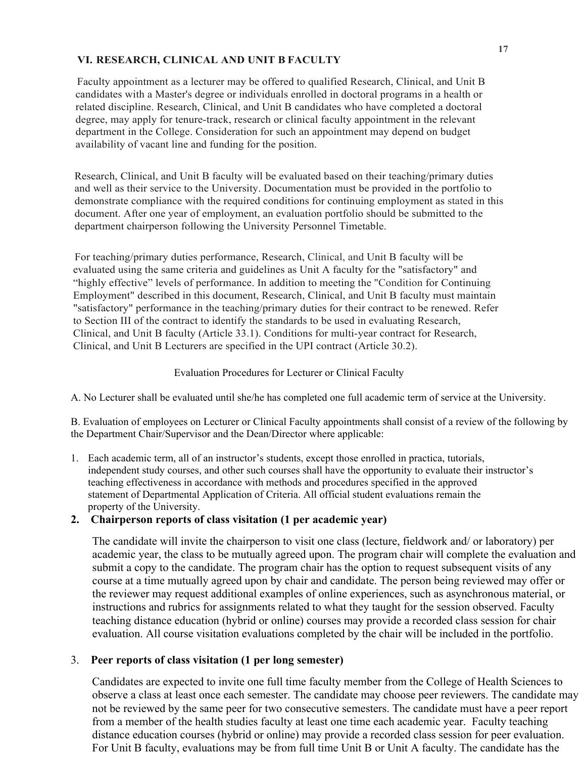## **VI. RESEARCH, CLINICAL AND UNIT B FACULTY**

Faculty appointment as a lecturer may be offered to qualified Research, Clinical, and Unit B candidates with a Master's degree or individuals enrolled in doctoral programs in a health or related discipline. Research, Clinical, and Unit B candidates who have completed a doctoral degree, may apply for tenure-track, research or clinical faculty appointment in the relevant department in the College. Consideration for such an appointment may depend on budget availability of vacant line and funding for the position.

Research, Clinical, and Unit B faculty will be evaluated based on their teaching/primary duties and well as their service to the University. Documentation must be provided in the portfolio to demonstrate compliance with the required conditions for continuing employment as stated in this document. After one year of employment, an evaluation portfolio should be submitted to the department chairperson following the University Personnel Timetable.

For teaching/primary duties performance, Research, Clinical, and Unit B faculty will be evaluated using the same criteria and guidelines as Unit A faculty for the "satisfactory" and "highly effective" levels of performance. In addition to meeting the "Condition for Continuing Employment" described in this document, Research, Clinical, and Unit B faculty must maintain "satisfactory" performance in the teaching/primary duties for their contract to be renewed. Refer to Section III of the contract to identify the standards to be used in evaluating Research, Clinical, and Unit B faculty (Article 33.1). Conditions for multi-year contract for Research, Clinical, and Unit B Lecturers are specified in the UPI contract (Article 30.2).

## Evaluation Procedures for Lecturer or Clinical Faculty

A. No Lecturer shall be evaluated until she/he has completed one full academic term of service at the University.

B. Evaluation of employees on Lecturer or Clinical Faculty appointments shall consist of a review of the following by the Department Chair/Supervisor and the Dean/Director where applicable:

1. Each academic term, all of an instructor's students, except those enrolled in practica, tutorials, independent study courses, and other such courses shall have the opportunity to evaluate their instructor's teaching effectiveness in accordance with methods and procedures specified in the approved statement of Departmental Application of Criteria. All official student evaluations remain the property of the University.

# **2. Chairperson reports of class visitation (1 per academic year)**

The candidate will invite the chairperson to visit one class (lecture, fieldwork and/ or laboratory) per academic year, the class to be mutually agreed upon. The program chair will complete the evaluation and submit a copy to the candidate. The program chair has the option to request subsequent visits of any course at a time mutually agreed upon by chair and candidate. The person being reviewed may offer or the reviewer may request additional examples of online experiences, such as asynchronous material, or instructions and rubrics for assignments related to what they taught for the session observed. Faculty teaching distance education (hybrid or online) courses may provide a recorded class session for chair evaluation. All course visitation evaluations completed by the chair will be included in the portfolio.

# 3. **Peer reports of class visitation (1 per long semester)**

Candidates are expected to invite one full time faculty member from the College of Health Sciences to observe a class at least once each semester. The candidate may choose peer reviewers. The candidate may not be reviewed by the same peer for two consecutive semesters. The candidate must have a peer report from a member of the health studies faculty at least one time each academic year. Faculty teaching distance education courses (hybrid or online) may provide a recorded class session for peer evaluation. For Unit B faculty, evaluations may be from full time Unit B or Unit A faculty. The candidate has the